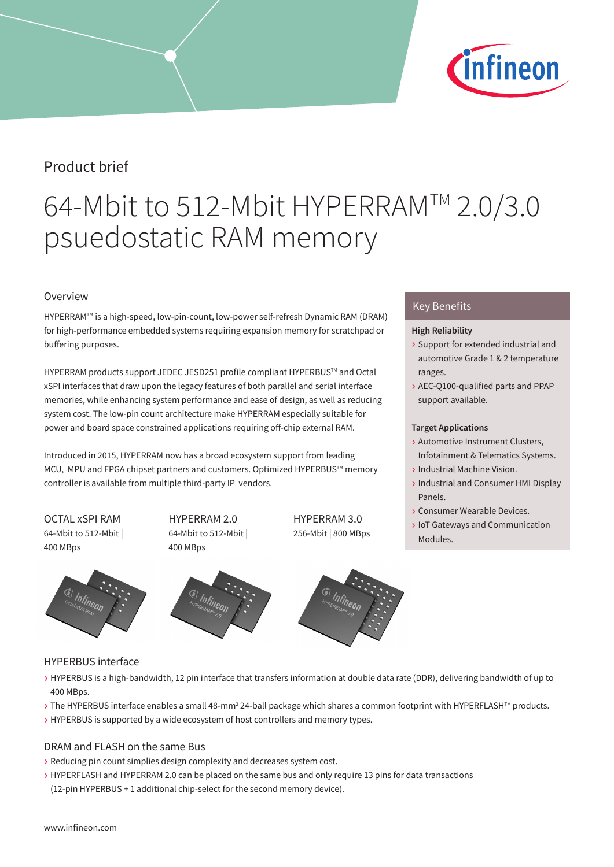

## Product brief

# 64-Mbit to 512-Mbit HYPERRAMTM 2.0/3.0 psuedostatic RAM memory

### **Overview**

HYPERRAMTM is a high-speed, low-pin-count, low-power self-refresh Dynamic RAM (DRAM) for high-performance embedded systems requiring expansion memory for scratchpad or buffering purposes.

HYPERRAM products support JEDEC JESD251 profile compliant HYPERBUSTM and Octal xSPI interfaces that draw upon the legacy features of both parallel and serial interface memories, while enhancing system performance and ease of design, as well as reducing system cost. The low-pin count architecture make HYPERRAM especially suitable for power and board space constrained applications requiring off-chip external RAM.

Introduced in 2015, HYPERRAM now has a broad ecosystem support from leading MCU, MPU and FPGA chipset partners and customers. Optimized HYPERBUS™ memory controller is available from multiple third-party IP vendors.

OCTAL xSPI RAM 64-Mbit to 512-Mbit | 400 MBps









HYPERRAM 3.0



## Key Benefits

#### **High Reliability**

- › Support for extended industrial and automotive Grade 1 & 2 temperature ranges.
- › AEC-Q100-qualified parts and PPAP support available.

#### **Target Applications**

- › Automotive Instrument Clusters, Infotainment & Telematics Systems.
- › Industrial Machine Vision.
- › Industrial and Consumer HMI Display Panels.
- › Consumer Wearable Devices.
- › IoT Gateways and Communication Modules.

### HYPERBUS interface

- › HYPERBUS is a high-bandwidth, 12 pin interface that transfers information at double data rate (DDR), delivering bandwidth of up to 400 MBps.
- > The HYPERBUS interface enables a small 48-mm<sup>2</sup> 24-ball package which shares a common footprint with HYPERFLASH™ products.
- › HYPERBUS is supported by a wide ecosystem of host controllers and memory types.

### DRAM and FLASH on the same Bus

- › Reducing pin count simplies design complexity and decreases system cost.
- › HYPERFLASH and HYPERRAM 2.0 can be placed on the same bus and only require 13 pins for data transactions (12-pin HYPERBUS + 1 additional chip-select for the second memory device).